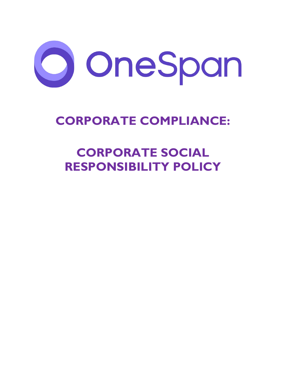

# **CORPORATE COMPLIANCE:**

# **CORPORATE SOCIAL RESPONSIBILITY POLICY**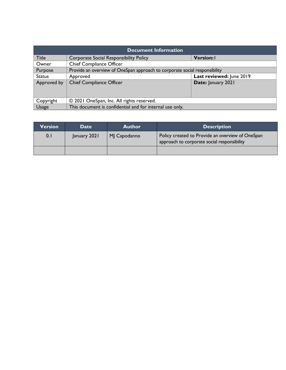| <b>Document Information</b> |                                                                            |                          |  |  |
|-----------------------------|----------------------------------------------------------------------------|--------------------------|--|--|
| <b>Title</b>                | <b>Corporate Social Responsibility Policy</b>                              | <b>Version:</b>          |  |  |
| Owner                       | <b>Chief Compliance Officer</b>                                            |                          |  |  |
| Purpose                     | Provide an overview of OneSpan approach to corporate social responsibility |                          |  |  |
| <b>Status</b>               | Approved                                                                   | Last reviewed: June 2019 |  |  |
| Approved by                 | <b>Chief Compliance Officer</b>                                            | Date: January 2021       |  |  |
|                             |                                                                            |                          |  |  |
|                             |                                                                            |                          |  |  |
| Copyright                   | © 2021 OneSpan, Inc. All rights reserved.                                  |                          |  |  |
| Usage                       | This document is confidential and for internal use only.                   |                          |  |  |

| Version | <b>Date</b>  | <b>Author</b> | <b>Description</b>                                                                              |
|---------|--------------|---------------|-------------------------------------------------------------------------------------------------|
| 0.1     | January 2021 | MJ Capodanno  | Policy created to Provide an overview of OneSpan<br>approach to corporate social responsibility |
|         |              |               |                                                                                                 |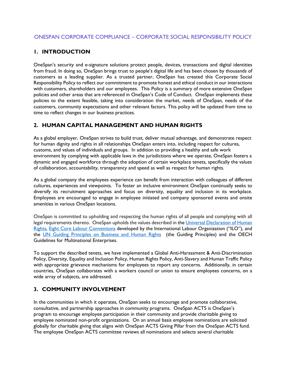#### **1. INTRODUCTION**

OneSpan's security and e-signature solutions protect people, devices, transactions and digital identities from fraud. In doing so, OneSpan brings trust to people's digital life and has been chosen by thousands of customers as a leading supplier. As a trusted partner, OneSpan has created this Corporate Social Responsibility Policy to reflect our commitment to promote honest and ethical conduct in our interactions with customers, shareholders and our employees. This Policy is a summary of more extensive OneSpan policies and other areas that are referenced in OneSpan's Code of Conduct. OneSpan implements these policies to the extent feasible, taking into consideration the market, needs of OneSpan, needs of the customers, community expectations and other relevant factors. This policy will be updated from time to time to reflect changes in our business practices.

#### **2. HUMAN CAPITAL MANAGEMENT AND HUMAN RIGHTS**

As a global employer, OneSpan strives to build trust, deliver mutual advantage, and demonstrate respect for human dignity and rights in all relationships OneSpan enters into, including respect for cultures, customs, and values of individuals and groups. In addition to providing a healthy and safe work environment by complying with applicable laws in the jurisdictions where we operate, OneSpan fosters a dynamic and engaged workforce through the adoption of certain workplace tenets, specifically the values of collaboration, accountability, transparency and speed as well as respect for human rights.

As a global company the employees experience can benefit from interaction with colleagues of different cultures, experiences and viewpoints. To foster an inclusive environment OneSpan continually seeks to diversify its recruitment approaches and focus on diversity, equality and inclusion in its workplace. Employees are encouraged to engage in employee initiated and company sponsored events and onsite amenities in various OneSpan locations.

OneSpan is committed to upholding and respecting the human rights of all people and complying with all legal requirements thereto. OneSpan upholds the values described in th[e Universal Declaration of Human](https://www.un.org/en/universal-declaration-human-rights/)  [Rights,](https://www.un.org/en/universal-declaration-human-rights/) [Eight Core Labour Conventions](https://libguides.ilo.org/c.php?g=657806&p=4649148) developed by the International Labour Organization ("ILO"), and the [UN Guiding Principles on Business and Human Rights](https://www.ohchr.org/documents/publications/guidingprinciplesbusinesshr_en.pdf) (the Guiding Principles) and the [OECH](https://www.oecd.org/corporate/mne/)  [Guidelines for Multinational Enterprises.](https://www.oecd.org/corporate/mne/)

To support the described tenets, we have implemented a Global Anti-Harassment & Anti-Discrimination Policy, Diversity, Equality and Inclusion Policy, Human Rights Policy, Anti-Slavery and Human Traffic Policy with appropriate grievance mechanisms for employees to report any concerns. Additionally, in certain countries, OneSpan collaborates with a workers council or union to ensure employees concerns, on a wide array of subjects, are addressed.

#### **3. COMMUNITY INVOLVEMENT**

In the communities in which it operates, OneSpan seeks to encourage and promote collaborative, consultative, and partnership approaches in community programs. OneSpan ACTS is OneSpan's program to encourage employee participation in their community and provide charitable giving to employee nominated non-profit organizations. On an annual basis employee nominations are solicited globally for charitable giving that aligns with OneSpan ACTS Giving Pillar from the OneSpan ACTS fund. The employee OneSpan ACTS committee reviews all nominations and selects several charitable